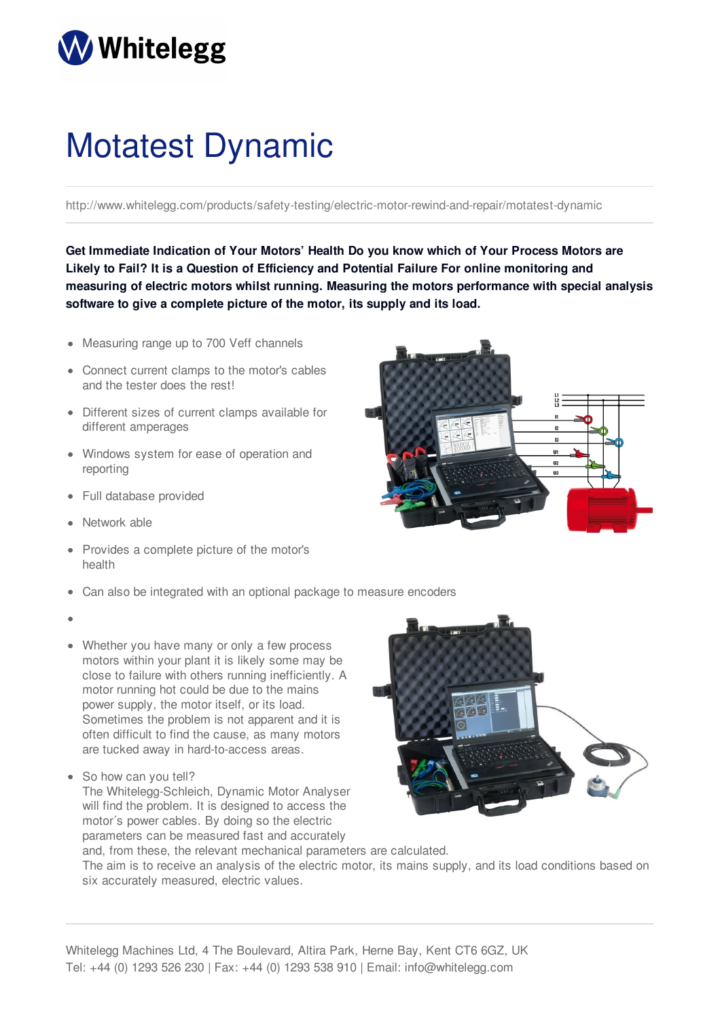## **Whitelegg**

## Motatest Dynamic

http://www.whitelegg.com/products/safety-testing/electric-motor-rewind-and-repair/motatest-dynamic

**Get Immediate Indication of Your Motors' Health Do you know which of Your Process Motors are Likely to Fail? It is a Question of Efficiency and Potential Failure For online monitoring and measuring of electric motors whilst running. Measuring the motors performance with special analysis software to give a complete picture of the motor, its supply and its load.**

- Measuring range up to 700 Veff channels
- Connect current clamps to the motor's cables and the tester does the rest!
- Different sizes of current clamps available for different amperages
- Windows system for ease of operation and reporting
- Full database provided
- Network able
- Provides a complete picture of the motor's health
- Can also be integrated with an optional package to measure encoders
- 
- Whether you have many or only a few process motors within your plant it is likely some may be close to failure with others running inefficiently. A motor running hot could be due to the mains power supply, the motor itself, or its load. Sometimes the problem is not apparent and it is often difficult to find the cause, as many motors are tucked away in hard-to-access areas.
- So how can you tell?

The Whitelegg-Schleich, Dynamic Motor Analyser will find the problem. It is designed to access the motor´s power cables. By doing so the electric parameters can be measured fast and accurately and, from these, the relevant mechanical parameters are calculated.



The aim is to receive an analysis of the electric motor, its mains supply, and its load conditions based on six accurately measured, electric values.